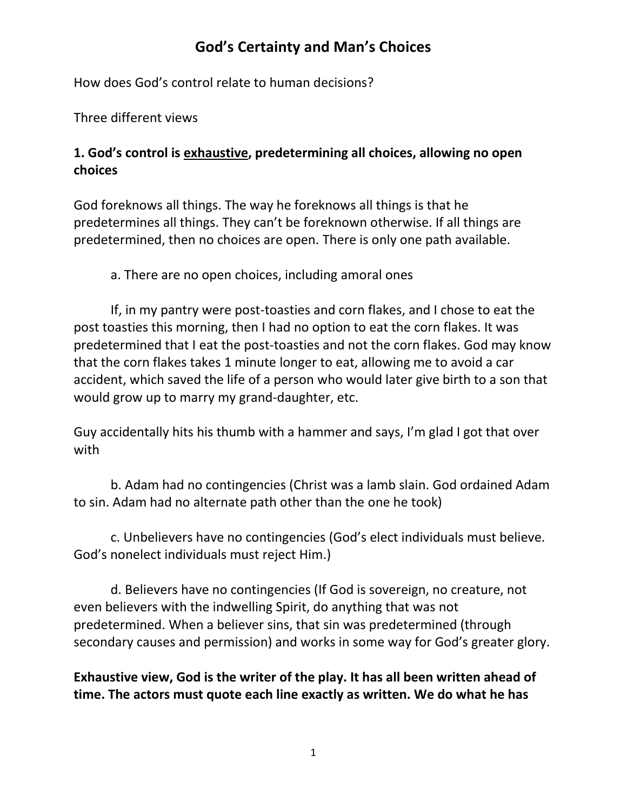How does God's control relate to human decisions?

Three different views

#### **1. God's control is exhaustive, predetermining all choices, allowing no open choices**

God foreknows all things. The way he foreknows all things is that he predetermines all things. They can't be foreknown otherwise. If all things are predetermined, then no choices are open. There is only one path available.

a. There are no open choices, including amoral ones

If, in my pantry were post-toasties and corn flakes, and I chose to eat the post toasties this morning, then I had no option to eat the corn flakes. It was predetermined that I eat the post-toasties and not the corn flakes. God may know that the corn flakes takes 1 minute longer to eat, allowing me to avoid a car accident, which saved the life of a person who would later give birth to a son that would grow up to marry my grand-daughter, etc.

Guy accidentally hits his thumb with a hammer and says, I'm glad I got that over with

b. Adam had no contingencies (Christ was a lamb slain. God ordained Adam to sin. Adam had no alternate path other than the one he took)

c. Unbelievers have no contingencies (God's elect individuals must believe. God's nonelect individuals must reject Him.)

d. Believers have no contingencies (If God is sovereign, no creature, not even believers with the indwelling Spirit, do anything that was not predetermined. When a believer sins, that sin was predetermined (through secondary causes and permission) and works in some way for God's greater glory.

**Exhaustive view, God is the writer of the play. It has all been written ahead of time. The actors must quote each line exactly as written. We do what he has**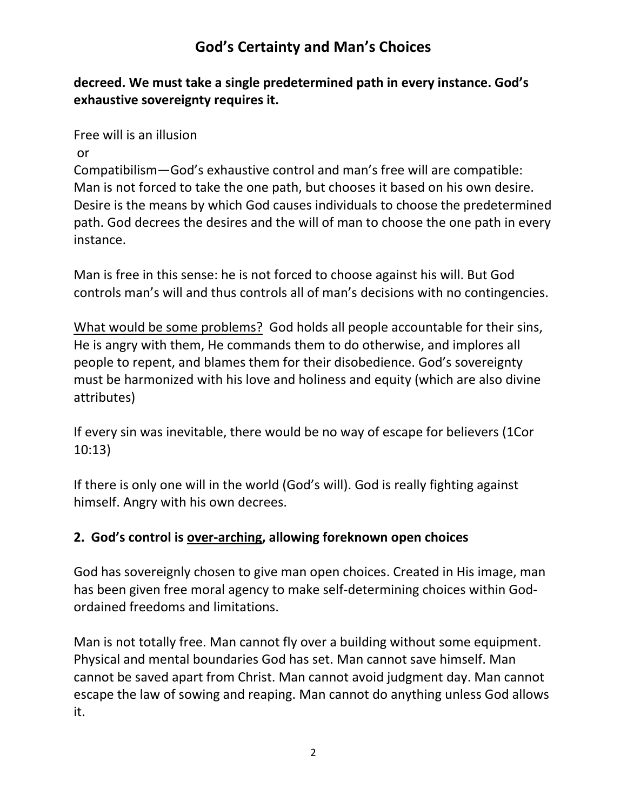**decreed. We must take a single predetermined path in every instance. God's exhaustive sovereignty requires it.** 

Free will is an illusion

or

Compatibilism—God's exhaustive control and man's free will are compatible: Man is not forced to take the one path, but chooses it based on his own desire. Desire is the means by which God causes individuals to choose the predetermined path. God decrees the desires and the will of man to choose the one path in every instance.

Man is free in this sense: he is not forced to choose against his will. But God controls man's will and thus controls all of man's decisions with no contingencies.

What would be some problems? God holds all people accountable for their sins, He is angry with them, He commands them to do otherwise, and implores all people to repent, and blames them for their disobedience. God's sovereignty must be harmonized with his love and holiness and equity (which are also divine attributes)

If every sin was inevitable, there would be no way of escape for believers (1Cor 10:13)

If there is only one will in the world (God's will). God is really fighting against himself. Angry with his own decrees.

#### **2. God's control is over-arching, allowing foreknown open choices**

God has sovereignly chosen to give man open choices. Created in His image, man has been given free moral agency to make self-determining choices within Godordained freedoms and limitations.

Man is not totally free. Man cannot fly over a building without some equipment. Physical and mental boundaries God has set. Man cannot save himself. Man cannot be saved apart from Christ. Man cannot avoid judgment day. Man cannot escape the law of sowing and reaping. Man cannot do anything unless God allows it.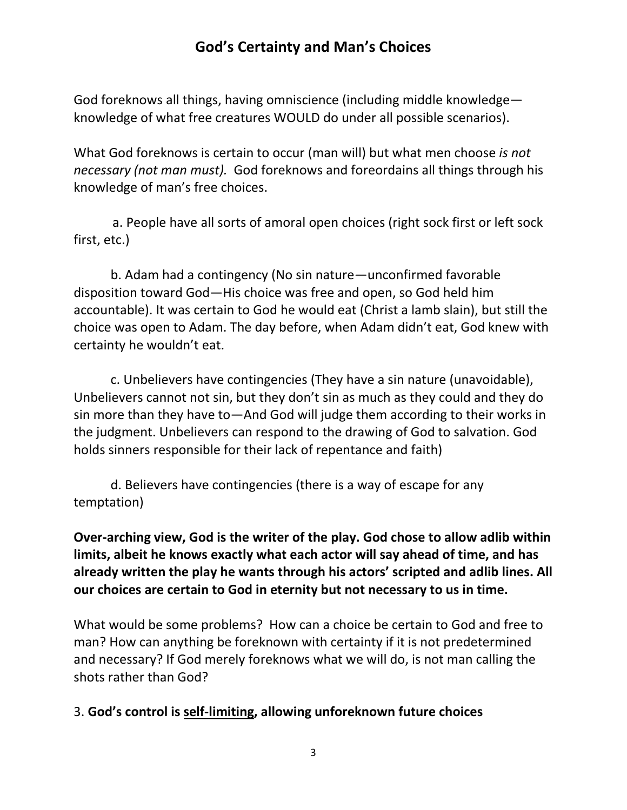God foreknows all things, having omniscience (including middle knowledge knowledge of what free creatures WOULD do under all possible scenarios).

What God foreknows is certain to occur (man will) but what men choose *is not necessary (not man must).* God foreknows and foreordains all things through his knowledge of man's free choices.

 a. People have all sorts of amoral open choices (right sock first or left sock first, etc.)

b. Adam had a contingency (No sin nature—unconfirmed favorable disposition toward God—His choice was free and open, so God held him accountable). It was certain to God he would eat (Christ a lamb slain), but still the choice was open to Adam. The day before, when Adam didn't eat, God knew with certainty he wouldn't eat.

c. Unbelievers have contingencies (They have a sin nature (unavoidable), Unbelievers cannot not sin, but they don't sin as much as they could and they do sin more than they have to—And God will judge them according to their works in the judgment. Unbelievers can respond to the drawing of God to salvation. God holds sinners responsible for their lack of repentance and faith)

d. Believers have contingencies (there is a way of escape for any temptation)

**Over-arching view, God is the writer of the play. God chose to allow adlib within limits, albeit he knows exactly what each actor will say ahead of time, and has already written the play he wants through his actors' scripted and adlib lines. All our choices are certain to God in eternity but not necessary to us in time.** 

What would be some problems? How can a choice be certain to God and free to man? How can anything be foreknown with certainty if it is not predetermined and necessary? If God merely foreknows what we will do, is not man calling the shots rather than God?

#### 3. **God's control is self-limiting, allowing unforeknown future choices**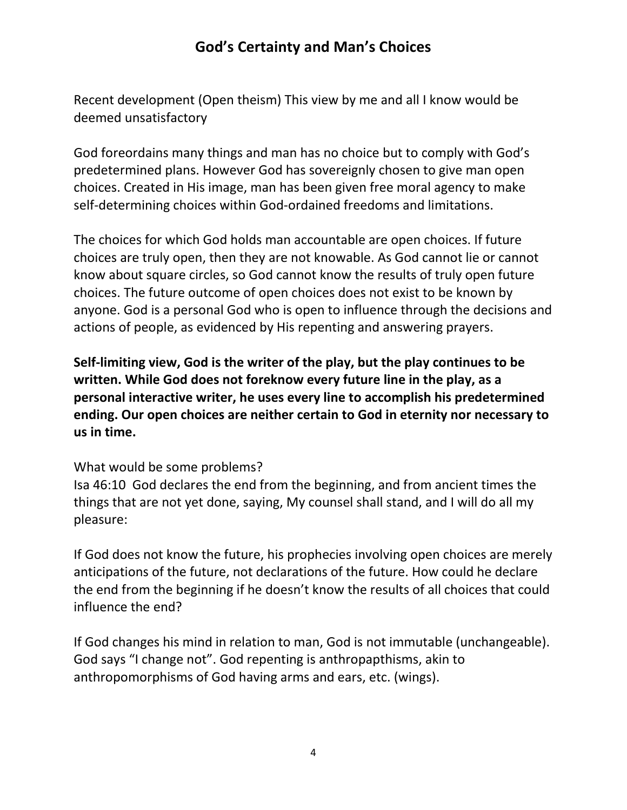Recent development (Open theism) This view by me and all I know would be deemed unsatisfactory

God foreordains many things and man has no choice but to comply with God's predetermined plans. However God has sovereignly chosen to give man open choices. Created in His image, man has been given free moral agency to make self-determining choices within God-ordained freedoms and limitations.

The choices for which God holds man accountable are open choices. If future choices are truly open, then they are not knowable. As God cannot lie or cannot know about square circles, so God cannot know the results of truly open future choices. The future outcome of open choices does not exist to be known by anyone. God is a personal God who is open to influence through the decisions and actions of people, as evidenced by His repenting and answering prayers.

**Self-limiting view, God is the writer of the play, but the play continues to be written. While God does not foreknow every future line in the play, as a personal interactive writer, he uses every line to accomplish his predetermined ending. Our open choices are neither certain to God in eternity nor necessary to us in time.** 

#### What would be some problems?

Isa 46:10 God declares the end from the beginning, and from ancient times the things that are not yet done, saying, My counsel shall stand, and I will do all my pleasure:

If God does not know the future, his prophecies involving open choices are merely anticipations of the future, not declarations of the future. How could he declare the end from the beginning if he doesn't know the results of all choices that could influence the end?

If God changes his mind in relation to man, God is not immutable (unchangeable). God says "I change not". God repenting is anthropapthisms, akin to anthropomorphisms of God having arms and ears, etc. (wings).